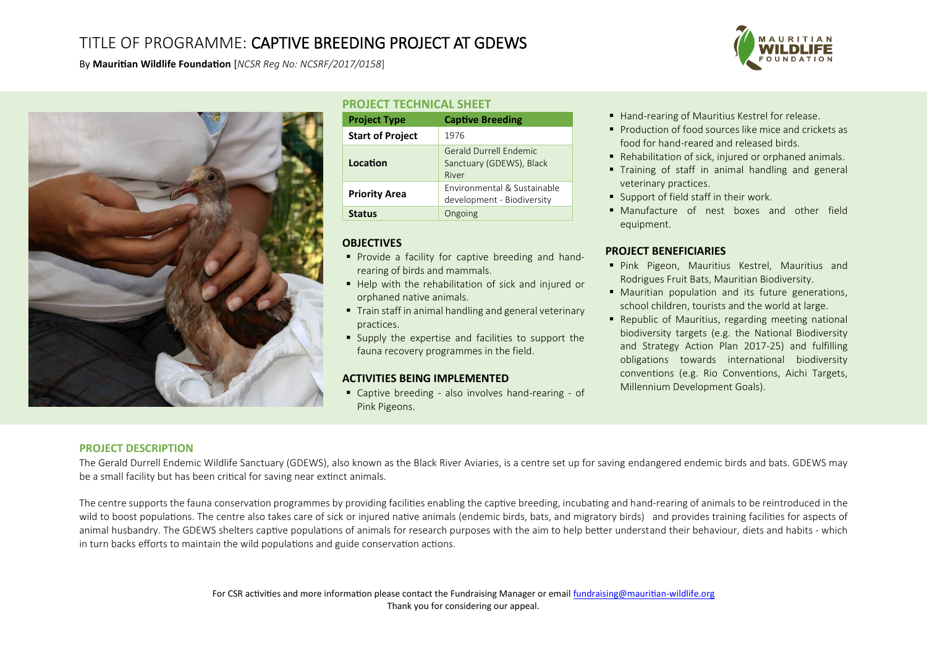# TITLE OF PROGRAMME: CAPTIVE BREEDING PROJECT AT GDEWS

By **Mauritian Wildlife Foundation** [*NCSR Reg No: NCSRF/2017/0158*]



# **PROJECT TECHNICAL SHEET**

| <b>Project Type</b>     | <b>Captive Breeding</b>                                     |
|-------------------------|-------------------------------------------------------------|
| <b>Start of Project</b> | 1976                                                        |
| Location                | Gerald Durrell Endemic<br>Sanctuary (GDEWS), Black<br>River |
| <b>Priority Area</b>    | Environmental & Sustainable<br>development - Biodiversity   |
| <b>Status</b>           | Ongoing                                                     |

## **OBJECTIVES**

- **Provide a facility for captive breeding and hand**rearing of birds and mammals.
- Help with the rehabilitation of sick and injured or orphaned native animals.
- Train staff in animal handling and general veterinary practices.
- Supply the expertise and facilities to support the fauna recovery programmes in the field.

## **ACTIVITIES BEING IMPLEMENTED**

 Captive breeding - also involves hand-rearing - of Pink Pigeons.

- Hand-rearing of Mauritius Kestrel for release.
- **Production of food sources like mice and crickets as** food for hand-reared and released birds.
- Rehabilitation of sick, injured or orphaned animals.
- Training of staff in animal handling and general veterinary practices.
- Support of field staff in their work.
- Manufacture of nest boxes and other field equipment.

## **PROJECT BENEFICIARIES**

- Pink Pigeon, Mauritius Kestrel, Mauritius and Rodrigues Fruit Bats, Mauritian Biodiversity.
- Mauritian population and its future generations, school children, tourists and the world at large.
- Republic of Mauritius, regarding meeting national biodiversity targets (e.g. the National Biodiversity and Strategy Action Plan 2017-25) and fulfilling obligations towards international biodiversity conventions (e.g. Rio Conventions, Aichi Targets, Millennium Development Goals).

## **PROJECT DESCRIPTION**

The Gerald Durrell Endemic Wildlife Sanctuary (GDEWS), also known as the Black River Aviaries, is a centre set up for saving endangered endemic birds and bats. GDEWS may be a small facility but has been critical for saving near extinct animals.

The centre supports the fauna conservation programmes by providing facilities enabling the captive breeding, incubating and hand-rearing of animals to be reintroduced in the wild to boost populations. The centre also takes care of sick or injured native animals (endemic birds, bats, and migratory birds) and provides training facilities for aspects of animal husbandry. The GDEWS shelters captive populations of animals for research purposes with the aim to help better understand their behaviour, diets and habits - which in turn backs efforts to maintain the wild populations and guide conservation actions.

> For CSR activities and more information please contact the Fundraising Manager or emai[l fundraising@mauritian-wildlife.org](mailto:fundraising@mauritian-wildlife.org) Thank you for considering our appeal.